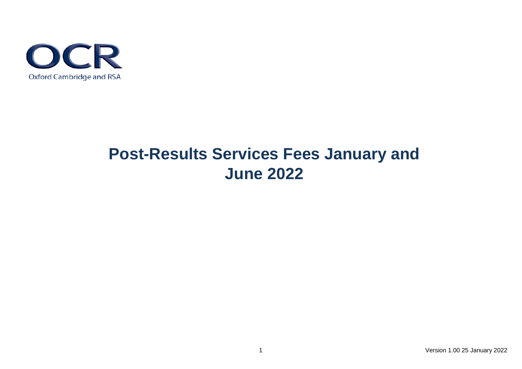

## **Post-Results Services Fees January and June 2022**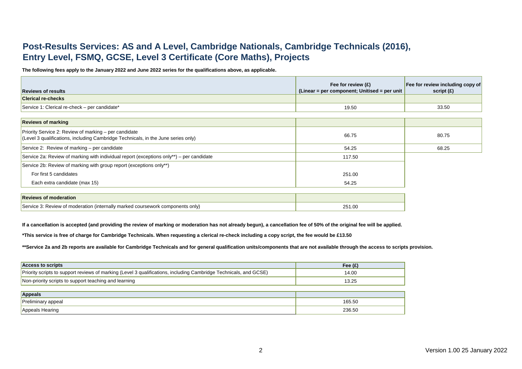## **Post-Results Services: AS and A Level, Cambridge Nationals, Cambridge Technicals (2016), Entry Level, FSMQ, GCSE, Level 3 Certificate (Core Maths), Projects**

**The following fees apply to the January 2022 and June 2022 series for the qualifications above, as applicable.**

|                                               | Fee for review $(E)$                          | <b>Fee for review including copy of</b> |
|-----------------------------------------------|-----------------------------------------------|-----------------------------------------|
| <b>Reviews of results</b>                     | (Linear = per component; Unitised = per unit) | script $(E)$                            |
| <b>Clerical re-checks</b>                     |                                               |                                         |
| Service 1: Clerical re-check – per candidate* | 19.50                                         | 33.50                                   |

| <b>Reviews of marking</b>                                                                                                                         |        |       |
|---------------------------------------------------------------------------------------------------------------------------------------------------|--------|-------|
| <b>Priority Service 2: Review of marking – per candidate</b><br>(Level 3 qualifications, including Cambridge Technicals, in the June series only) | 66.75  | 80.75 |
| Service 2: Review of marking $-$ per candidate                                                                                                    | 54.25  | 68.25 |
| Service 2a: Review of marking with individual report (exceptions only**) – per candidate                                                          | 117.50 |       |
| Service 2b: Review of marking with group report (exceptions only**)                                                                               |        |       |
| For first 5 candidates                                                                                                                            | 251.00 |       |
| Each extra candidate (max 15)                                                                                                                     | 54.25  |       |
|                                                                                                                                                   |        |       |
| <b>Reviews of moderation</b>                                                                                                                      |        |       |
| Service 3: Review of moderation (internally marked coursework components only)                                                                    | 251.00 |       |

**If a cancellation is accepted (and providing the review of marking or moderation has not already begun), a cancellation fee of 50% of the original fee will be applied.**

**\*This service is free of charge for Cambridge Technicals. When requesting a clerical re-check including a copy script, the fee would be £13.50**

**\*\*Service 2a and 2b reports are available for Cambridge Technicals and for general qualification units/components that are not available through the access to scripts provision.**

| <b>Access to scripts</b>                                                                                          | Fee $(E)$ |
|-------------------------------------------------------------------------------------------------------------------|-----------|
| Priority scripts to support reviews of marking (Level 3 qualifications, including Cambridge Technicals, and GCSE) | 14.00     |
| Non-priority scripts to support teaching and learning                                                             |           |

| <b>Appeals</b>                        |        |
|---------------------------------------|--------|
| appeal<br>ı <del>c</del> ıllı III lal | 165.50 |
| Appeals Hearing                       | 236.50 |